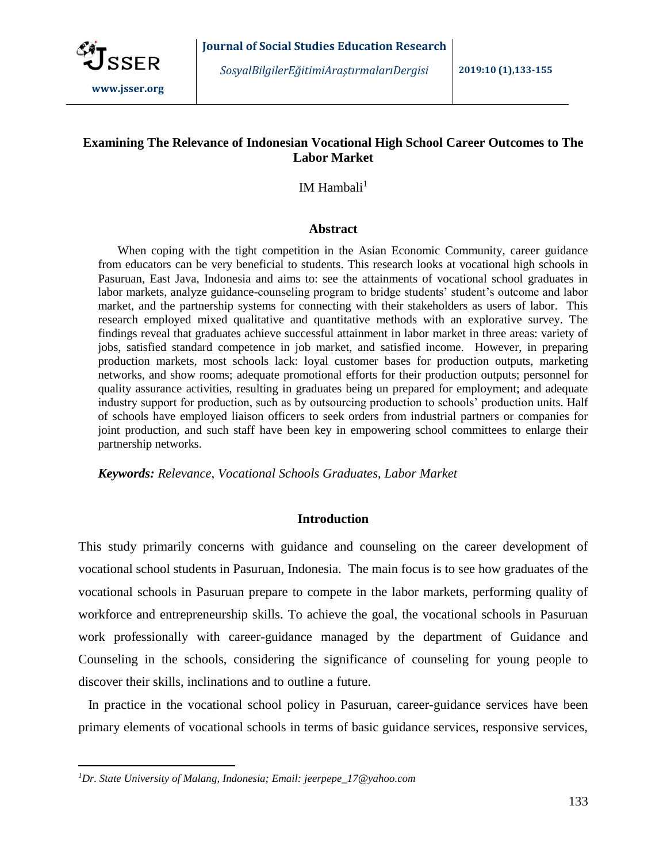

*SosyalBilgilerEğitimiAraştırmalarıDergisi* **2019:10 (1),133-155**

## **Examining The Relevance of Indonesian Vocational High School Career Outcomes to The Labor Market**

IM Hambali $<sup>1</sup>$ </sup>

### **Abstract**

When coping with the tight competition in the Asian Economic Community, career guidance from educators can be very beneficial to students. This research looks at vocational high schools in Pasuruan, East Java, Indonesia and aims to: see the attainments of vocational school graduates in labor markets, analyze guidance-counseling program to bridge students' student's outcome and labor market, and the partnership systems for connecting with their stakeholders as users of labor. This research employed mixed qualitative and quantitative methods with an explorative survey. The findings reveal that graduates achieve successful attainment in labor market in three areas: variety of jobs, satisfied standard competence in job market, and satisfied income. However, in preparing production markets, most schools lack: loyal customer bases for production outputs, marketing networks, and show rooms; adequate promotional efforts for their production outputs; personnel for quality assurance activities, resulting in graduates being un prepared for employment; and adequate industry support for production, such as by outsourcing production to schools' production units. Half of schools have employed liaison officers to seek orders from industrial partners or companies for joint production, and such staff have been key in empowering school committees to enlarge their partnership networks.

*Keywords: Relevance, Vocational Schools Graduates, Labor Market*

## **Introduction**

This study primarily concerns with guidance and counseling on the career development of vocational school students in Pasuruan, Indonesia. The main focus is to see how graduates of the vocational schools in Pasuruan prepare to compete in the labor markets, performing quality of workforce and entrepreneurship skills. To achieve the goal, the vocational schools in Pasuruan work professionally with career-guidance managed by the department of Guidance and Counseling in the schools, considering the significance of counseling for young people to discover their skills, inclinations and to outline a future.

 In practice in the vocational school policy in Pasuruan, career-guidance services have been primary elements of vocational schools in terms of basic guidance services, responsive services,

 $\overline{a}$ 

*<sup>1</sup>Dr. State University of Malang, Indonesia; Email: jeerpepe\_17@yahoo.com*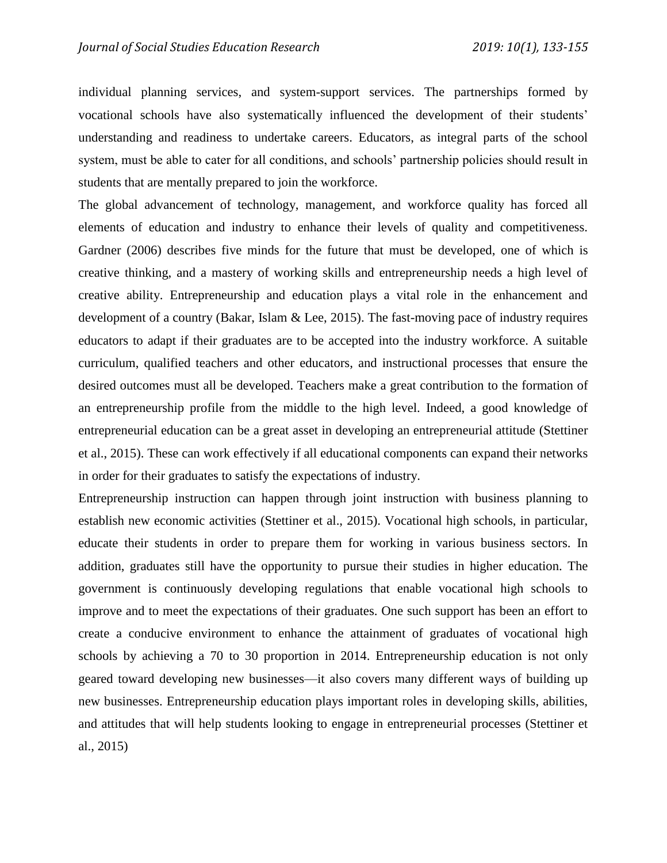individual planning services, and system-support services. The partnerships formed by vocational schools have also systematically influenced the development of their students' understanding and readiness to undertake careers. Educators, as integral parts of the school system, must be able to cater for all conditions, and schools' partnership policies should result in students that are mentally prepared to join the workforce.

The global advancement of technology, management, and workforce quality has forced all elements of education and industry to enhance their levels of quality and competitiveness. Gardner (2006) describes five minds for the future that must be developed, one of which is creative thinking, and a mastery of working skills and entrepreneurship needs a high level of creative ability. Entrepreneurship and education plays a vital role in the enhancement and development of a country (Bakar, Islam & Lee, 2015). The fast-moving pace of industry requires educators to adapt if their graduates are to be accepted into the industry workforce. A suitable curriculum, qualified teachers and other educators, and instructional processes that ensure the desired outcomes must all be developed. Teachers make a great contribution to the formation of an entrepreneurship profile from the middle to the high level. Indeed, a good knowledge of entrepreneurial education can be a great asset in developing an entrepreneurial attitude (Stettiner et al., 2015). These can work effectively if all educational components can expand their networks in order for their graduates to satisfy the expectations of industry.

Entrepreneurship instruction can happen through joint instruction with business planning to establish new economic activities (Stettiner et al., 2015). Vocational high schools, in particular, educate their students in order to prepare them for working in various business sectors. In addition, graduates still have the opportunity to pursue their studies in higher education. The government is continuously developing regulations that enable vocational high schools to improve and to meet the expectations of their graduates. One such support has been an effort to create a conducive environment to enhance the attainment of graduates of vocational high schools by achieving a 70 to 30 proportion in 2014. Entrepreneurship education is not only geared toward developing new businesses—it also covers many different ways of building up new businesses. Entrepreneurship education plays important roles in developing skills, abilities, and attitudes that will help students looking to engage in entrepreneurial processes (Stettiner et al., 2015)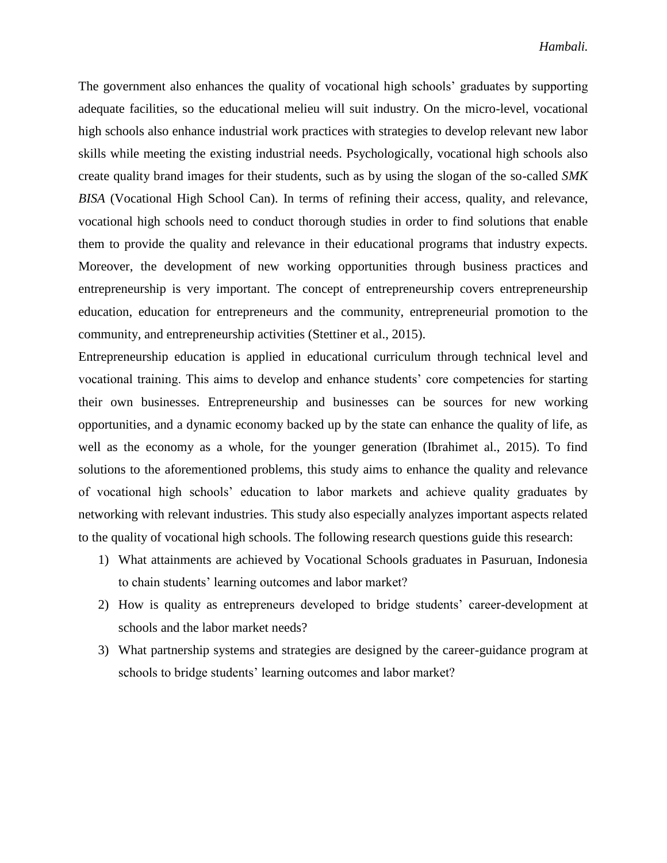The government also enhances the quality of vocational high schools' graduates by supporting adequate facilities, so the educational melieu will suit industry. On the micro-level, vocational high schools also enhance industrial work practices with strategies to develop relevant new labor skills while meeting the existing industrial needs. Psychologically, vocational high schools also create quality brand images for their students, such as by using the slogan of the so-called *SMK BISA* (Vocational High School Can). In terms of refining their access, quality, and relevance, vocational high schools need to conduct thorough studies in order to find solutions that enable them to provide the quality and relevance in their educational programs that industry expects. Moreover, the development of new working opportunities through business practices and entrepreneurship is very important. The concept of entrepreneurship covers entrepreneurship education, education for entrepreneurs and the community, entrepreneurial promotion to the community, and entrepreneurship activities (Stettiner et al., 2015).

Entrepreneurship education is applied in educational curriculum through technical level and vocational training. This aims to develop and enhance students' core competencies for starting their own businesses. Entrepreneurship and businesses can be sources for new working opportunities, and a dynamic economy backed up by the state can enhance the quality of life, as well as the economy as a whole, for the younger generation (Ibrahimet al., 2015). To find solutions to the aforementioned problems, this study aims to enhance the quality and relevance of vocational high schools' education to labor markets and achieve quality graduates by networking with relevant industries. This study also especially analyzes important aspects related to the quality of vocational high schools. The following research questions guide this research:

- 1) What attainments are achieved by Vocational Schools graduates in Pasuruan, Indonesia to chain students' learning outcomes and labor market?
- 2) How is quality as entrepreneurs developed to bridge students' career-development at schools and the labor market needs?
- 3) What partnership systems and strategies are designed by the career-guidance program at schools to bridge students' learning outcomes and labor market?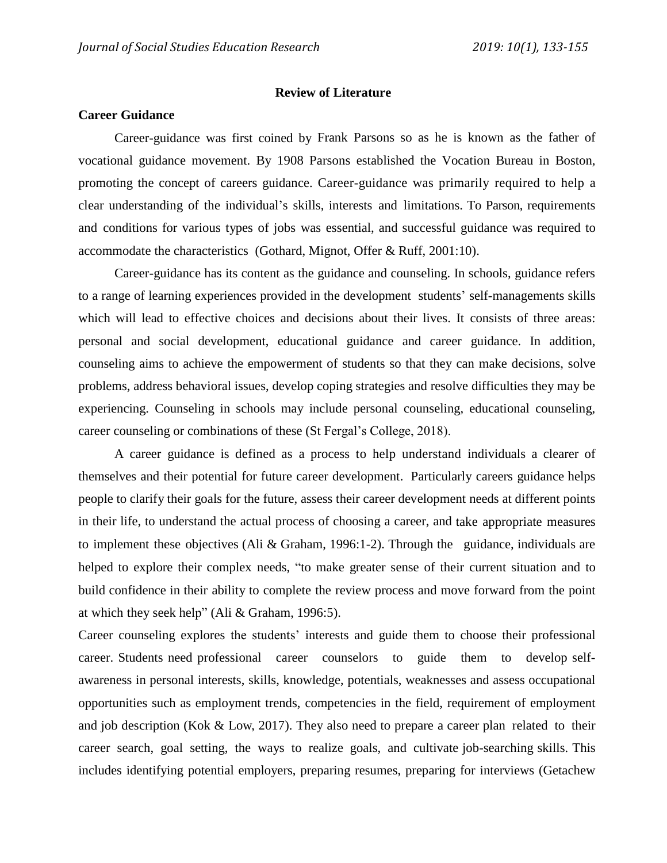#### **Review of Literature**

#### **Career Guidance**

Career-guidance was first coined by Frank Parsons so as he is known as the father of vocational guidance movement. By 1908 Parsons established the Vocation Bureau in Boston, promoting the concept of careers guidance. Career-guidance was primarily required to help a clear understanding of the individual's skills, interests and limitations. To Parson, requirements and conditions for various types of jobs was essential, and successful guidance was required to accommodate the characteristics (Gothard, Mignot, Offer & Ruff, 2001:10).

Career-guidance has its content as the guidance and counseling. In schools, guidance refers to a range of learning experiences provided in the development students' self-managements skills which will lead to effective choices and decisions about their lives. It consists of three areas: personal and social development, educational guidance and career guidance. In addition, counseling aims to achieve the empowerment of students so that they can make decisions, solve problems, address behavioral issues, develop coping strategies and resolve difficulties they may be experiencing. Counseling in schools may include personal counseling, educational counseling, career counseling or combinations of these (St Fergal's College, 2018).

A career guidance is defined as a process to help understand individuals a clearer of themselves and their potential for future career development. Particularly careers guidance helps people to clarify their goals for the future, assess their career development needs at different points in their life, to understand the actual process of choosing a career, and take appropriate measures to implement these objectives (Ali & Graham, 1996:1-2). Through the guidance, individuals are helped to explore their complex needs, "to make greater sense of their current situation and to build confidence in their ability to complete the review process and move forward from the point at which they seek help" (Ali & Graham, 1996:5).

Career counseling explores the students' interests and guide them to choose their professional career. Students need professional career counselors to guide them to develop selfawareness in personal interests, skills, knowledge, potentials, weaknesses and assess occupational opportunities such as employment trends, competencies in the field, requirement of employment and job description (Kok & Low, 2017). They also need to prepare a career plan related to their career search, goal setting, the ways to realize goals, and cultivate job-searching skills. This includes identifying potential employers, preparing resumes, preparing for interviews (Getachew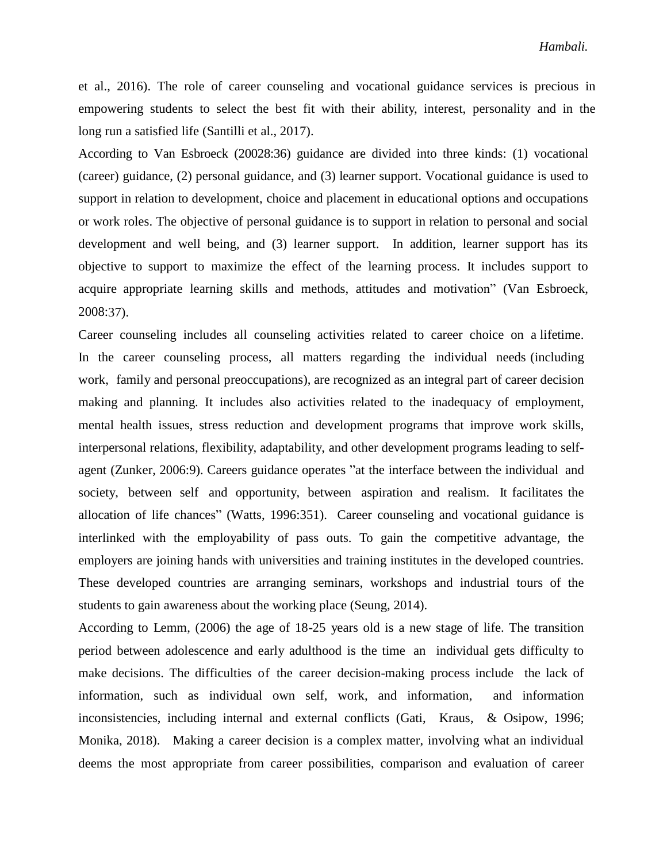et al., 2016). The role of career counseling and vocational guidance services is precious in empowering students to select the best fit with their ability, interest, personality and in the long run a satisfied life (Santilli et al., 2017).

According to Van Esbroeck (20028:36) guidance are divided into three kinds: (1) vocational (career) guidance, (2) personal guidance, and (3) learner support. Vocational guidance is used to support in relation to development, choice and placement in educational options and occupations or work roles. The objective of personal guidance is to support in relation to personal and social development and well being, and (3) learner support. In addition, learner support has its objective to support to maximize the effect of the learning process. It includes support to acquire appropriate learning skills and methods, attitudes and motivation" (Van Esbroeck, 2008:37).

Career counseling includes all counseling activities related to career choice on a lifetime. In the career counseling process, all matters regarding the individual needs (including work, family and personal preoccupations), are recognized as an integral part of career decision making and planning. It includes also activities related to the inadequacy of employment, mental health issues, stress reduction and development programs that improve work skills, interpersonal relations, flexibility, adaptability, and other development programs leading to selfagent (Zunker, 2006:9). Careers guidance operates "at the interface between the individual and society, between self and opportunity, between aspiration and realism. It facilitates the allocation of life chances" (Watts, 1996:351). Career counseling and vocational guidance is interlinked with the employability of pass outs. To gain the competitive advantage, the employers are joining hands with universities and training institutes in the developed countries. These developed countries are arranging seminars, workshops and industrial tours of the students to gain awareness about the working place (Seung, 2014).

According to Lemm, (2006) the age of 18-25 years old is a new stage of life. The transition period between adolescence and early adulthood is the time an individual gets difficulty to make decisions. The difficulties of the career decision-making process include the lack of information, such as individual own self, work, and information, and information inconsistencies, including internal and external conflicts (Gati, Kraus, & Osipow, 1996; Monika, 2018). Making a career decision is a complex matter, involving what an individual deems the most appropriate from career possibilities, comparison and evaluation of career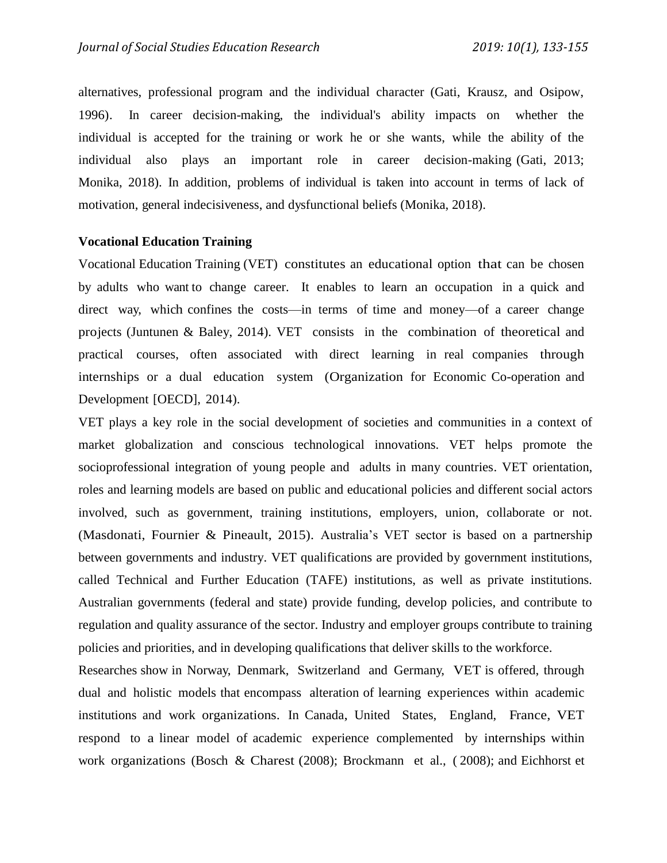alternatives, professional program and the individual character (Gati, Krausz, and Osipow, 1996). In career decision-making, the individual's ability impacts on whether the individual is accepted for the training or work he or she wants, while the ability of the individual also plays an important role in career decision-making (Gati, 2013; Monika, 2018). In addition, problems of individual is taken into account in terms of lack of motivation, general indecisiveness, and dysfunctional beliefs (Monika, 2018).

### **Vocational Education Training**

Vocational Education Training (VET) constitutes an educational option that can be chosen by adults who want to change career. It enables to learn an occupation in a quick and direct way, which confines the costs—in terms of time and money—of a career change projects (Juntunen & Baley, 2014). VET consists in the combination of theoretical and practical courses, often associated with direct learning in real companies through internships or a dual education system (Organization for Economic Co-operation and Development [OECD], 2014).

VET plays a key role in the social development of societies and communities in a context of market globalization and conscious technological innovations. VET helps promote the socioprofessional integration of young people and adults in many countries. VET orientation, roles and learning models are based on public and educational policies and different social actors involved, such as government, training institutions, employers, union, collaborate or not. (Masdonati, Fournier & Pineault, 2015). Australia's VET sector is based on a partnership between governments and industry. VET qualifications are provided by government institutions, called Technical and Further Education (TAFE) institutions, as well as private institutions. Australian governments (federal and state) provide funding, develop policies, and contribute to regulation and quality assurance of the sector. Industry and employer groups contribute to training policies and priorities, and in developing qualifications that deliver skills to the workforce.

Researches show in Norway, Denmark, Switzerland and Germany, VET is offered, through dual and holistic models that encompass alteration of learning experiences within academic institutions and work organizations. In Canada, United States, England, France, VET respond to a linear model of academic experience complemented by internships within work organizations (Bosch & Charest (2008); Brockmann et al., ( 2008); and Eichhorst et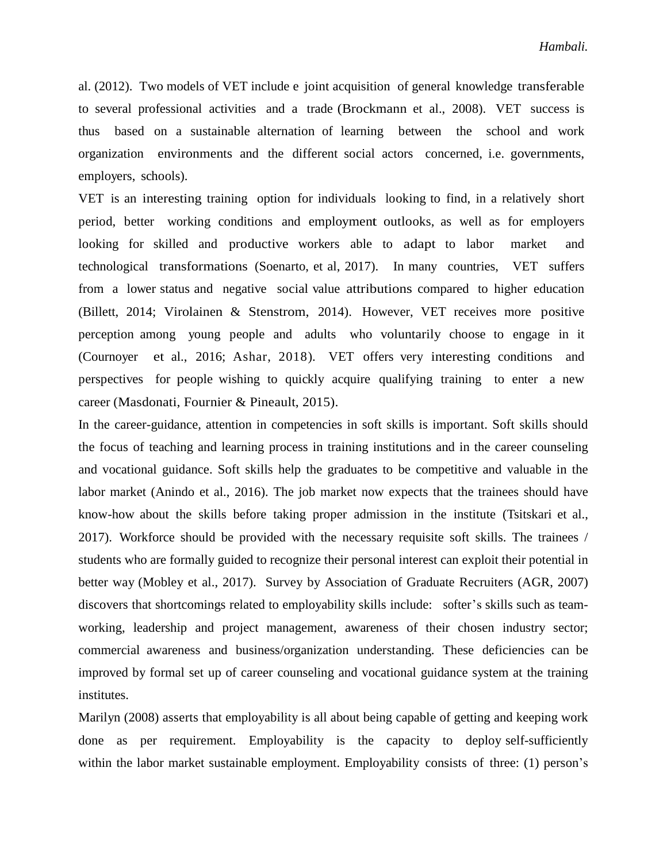al. (2012). Two models of VET include e joint acquisition of general knowledge transferable to several professional activities and a trade (Brockmann et al., 2008). VET success is thus based on a sustainable alternation of learning between the school and work organization environments and the different social actors concerned, i.e. governments, employers, schools).

VET is an interesting training option for individuals looking to find, in a relatively short period, better working conditions and employment outlooks, as well as for employers looking for skilled and productive workers able to adapt to labor market and technological transformations (Soenarto, et al, 2017). In many countries, VET suffers from a lower status and negative social value attributions compared to higher education (Billett, 2014; Virolainen & Stenstrom, 2014). However, VET receives more positive perception among young people and adults who voluntarily choose to engage in it (Cournoyer et al., 2016; Ashar, 2018). VET offers very interesting conditions and perspectives for people wishing to quickly acquire qualifying training to enter a new career (Masdonati, Fournier & Pineault, 2015).

In the career-guidance, attention in competencies in soft skills is important. Soft skills should the focus of teaching and learning process in training institutions and in the career counseling and vocational guidance. Soft skills help the graduates to be competitive and valuable in the labor market (Anindo et al., 2016). The job market now expects that the trainees should have know-how about the skills before taking proper admission in the institute (Tsitskari et al., 2017). Workforce should be provided with the necessary requisite soft skills. The trainees / students who are formally guided to recognize their personal interest can exploit their potential in better way (Mobley et al., 2017). Survey by Association of Graduate Recruiters (AGR, 2007) discovers that shortcomings related to employability skills include: softer's skills such as teamworking, leadership and project management, awareness of their chosen industry sector; commercial awareness and business/organization understanding. These deficiencies can be improved by formal set up of career counseling and vocational guidance system at the training institutes.

Marilyn (2008) asserts that employability is all about being capable of getting and keeping work done as per requirement. Employability is the capacity to deploy self-sufficiently within the labor market sustainable employment. Employability consists of three: (1) person's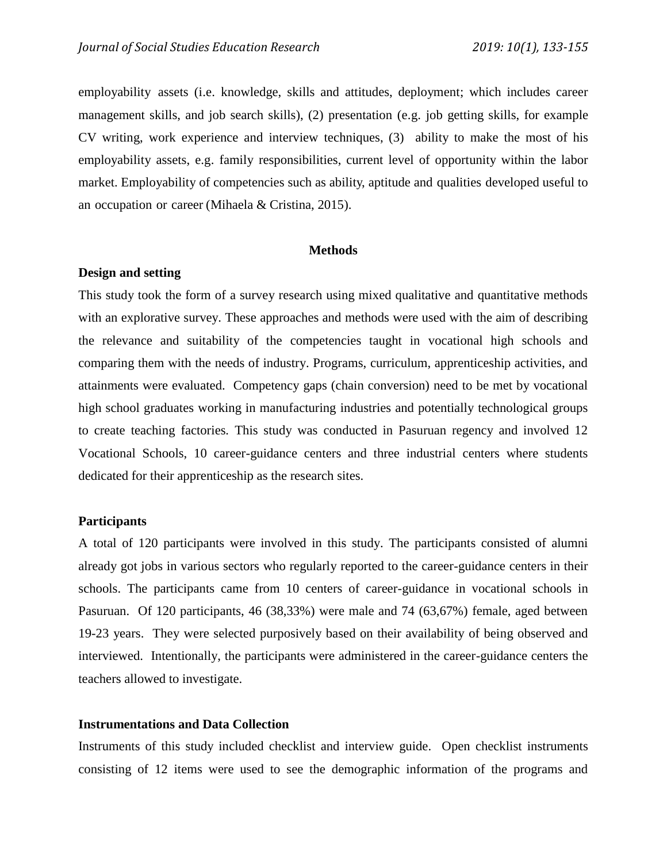employability assets (i.e. knowledge, skills and attitudes, deployment; which includes career management skills, and job search skills), (2) presentation (e.g. job getting skills, for example CV writing, work experience and interview techniques, (3) ability to make the most of his employability assets, e.g. family responsibilities, current level of opportunity within the labor market. Employability of competencies such as ability, aptitude and qualities developed useful to an occupation or career (Mihaela & Cristina, 2015).

#### **Methods**

### **Design and setting**

This study took the form of a survey research using mixed qualitative and quantitative methods with an explorative survey. These approaches and methods were used with the aim of describing the relevance and suitability of the competencies taught in vocational high schools and comparing them with the needs of industry. Programs, curriculum, apprenticeship activities, and attainments were evaluated. Competency gaps (chain conversion) need to be met by vocational high school graduates working in manufacturing industries and potentially technological groups to create teaching factories*.* This study was conducted in Pasuruan regency and involved 12 Vocational Schools, 10 career-guidance centers and three industrial centers where students dedicated for their apprenticeship as the research sites.

#### **Participants**

A total of 120 participants were involved in this study. The participants consisted of alumni already got jobs in various sectors who regularly reported to the career-guidance centers in their schools. The participants came from 10 centers of career-guidance in vocational schools in Pasuruan. Of 120 participants, 46 (38,33%) were male and 74 (63,67%) female, aged between 19-23 years. They were selected purposively based on their availability of being observed and interviewed. Intentionally, the participants were administered in the career-guidance centers the teachers allowed to investigate.

#### **Instrumentations and Data Collection**

Instruments of this study included checklist and interview guide. Open checklist instruments consisting of 12 items were used to see the demographic information of the programs and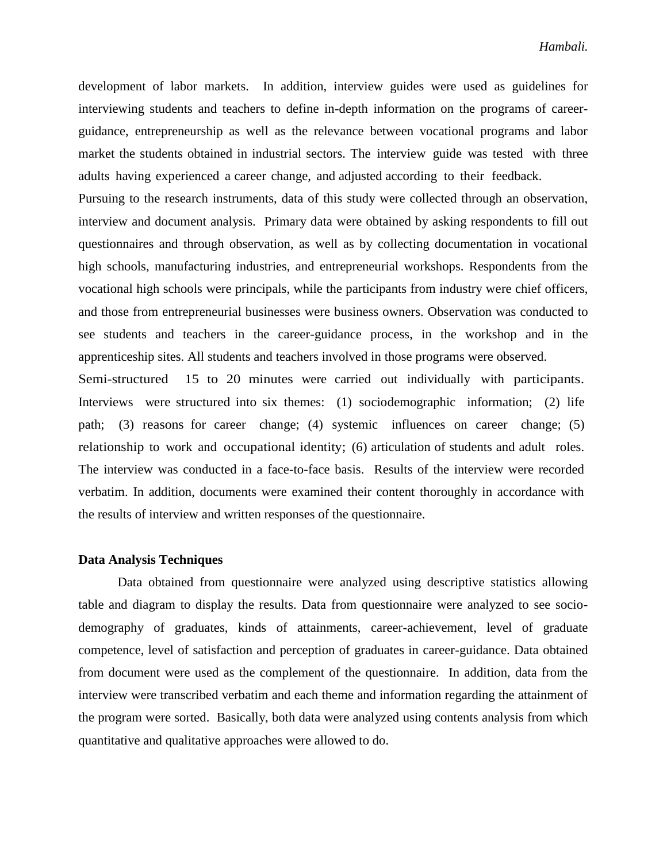development of labor markets. In addition, interview guides were used as guidelines for interviewing students and teachers to define in-depth information on the programs of careerguidance, entrepreneurship as well as the relevance between vocational programs and labor market the students obtained in industrial sectors. The interview guide was tested with three adults having experienced a career change, and adjusted according to their feedback.

Pursuing to the research instruments, data of this study were collected through an observation, interview and document analysis. Primary data were obtained by asking respondents to fill out questionnaires and through observation, as well as by collecting documentation in vocational high schools, manufacturing industries, and entrepreneurial workshops. Respondents from the vocational high schools were principals, while the participants from industry were chief officers, and those from entrepreneurial businesses were business owners. Observation was conducted to see students and teachers in the career-guidance process, in the workshop and in the apprenticeship sites. All students and teachers involved in those programs were observed.

Semi-structured 15 to 20 minutes were carried out individually with participants. Interviews were structured into six themes: (1) sociodemographic information; (2) life path; (3) reasons for career change; (4) systemic influences on career change; (5) relationship to work and occupational identity; (6) articulation of students and adult roles. The interview was conducted in a face-to-face basis. Results of the interview were recorded verbatim. In addition, documents were examined their content thoroughly in accordance with the results of interview and written responses of the questionnaire.

#### **Data Analysis Techniques**

Data obtained from questionnaire were analyzed using descriptive statistics allowing table and diagram to display the results. Data from questionnaire were analyzed to see sociodemography of graduates, kinds of attainments, career-achievement, level of graduate competence, level of satisfaction and perception of graduates in career-guidance. Data obtained from document were used as the complement of the questionnaire. In addition, data from the interview were transcribed verbatim and each theme and information regarding the attainment of the program were sorted. Basically, both data were analyzed using contents analysis from which quantitative and qualitative approaches were allowed to do.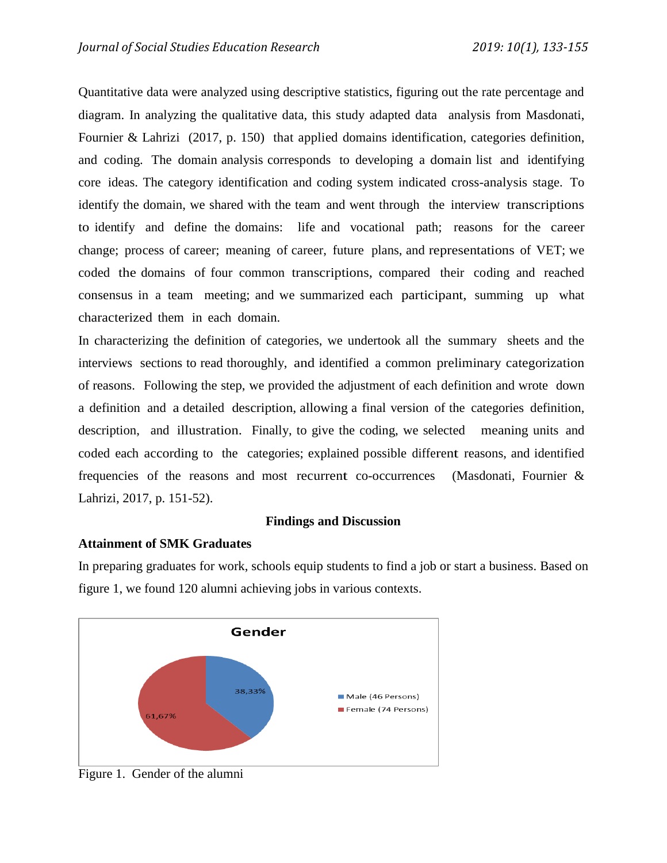Quantitative data were analyzed using descriptive statistics, figuring out the rate percentage and diagram. In analyzing the qualitative data, this study adapted data analysis from Masdonati, Fournier & Lahrizi (2017, p. 150) that applied domains identification, categories definition, and coding. The domain analysis corresponds to developing a domain list and identifying core ideas. The category identification and coding system indicated cross-analysis stage. To identify the domain, we shared with the team and went through the interview transcriptions to identify and define the domains: life and vocational path; reasons for the career change; process of career; meaning of career, future plans, and representations of VET; we coded the domains of four common transcriptions, compared their coding and reached consensus in a team meeting; and we summarized each participant, summing up what characterized them in each domain.

In characterizing the definition of categories, we undertook all the summary sheets and the interviews sections to read thoroughly, and identified a common preliminary categorization of reasons. Following the step, we provided the adjustment of each definition and wrote down a definition and a detailed description, allowing a final version of the categories definition, description, and illustration. Finally, to give the coding, we selected meaning units and coded each according to the categories; explained possible different reasons, and identified frequencies of the reasons and most recurrent co-occurrences (Masdonati, Fournier & Lahrizi, 2017, p. 151-52).

# **Findings and Discussion**

## **Attainment of SMK Graduates**

In preparing graduates for work, schools equip students to find a job or start a business. Based on figure 1, we found 120 alumni achieving jobs in various contexts.

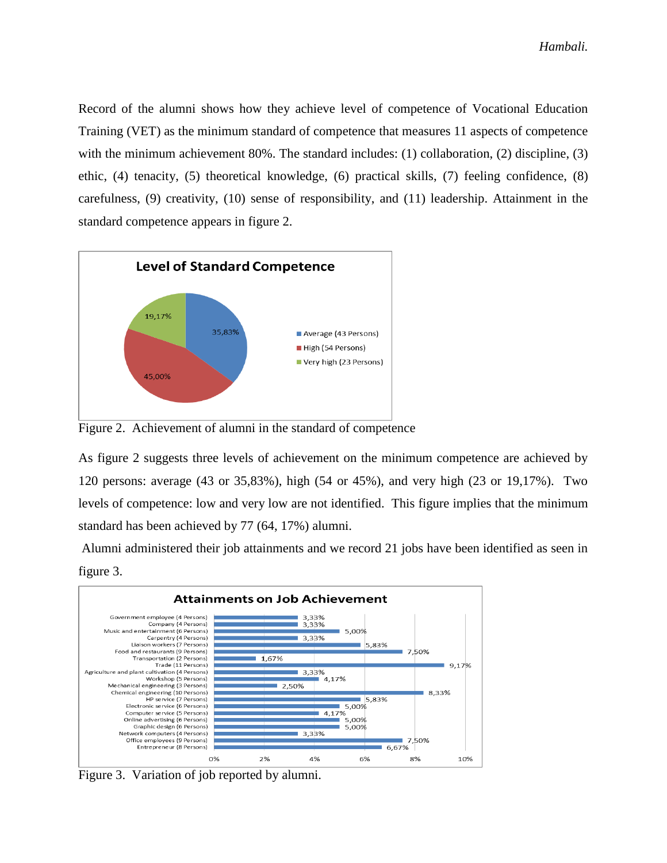Record of the alumni shows how they achieve level of competence of Vocational Education Training (VET) as the minimum standard of competence that measures 11 aspects of competence with the minimum achievement 80%. The standard includes: (1) collaboration, (2) discipline, (3) ethic, (4) tenacity, (5) theoretical knowledge, (6) practical skills, (7) feeling confidence, (8) carefulness, (9) creativity, (10) sense of responsibility, and (11) leadership. Attainment in the standard competence appears in figure 2.



Figure 2. Achievement of alumni in the standard of competence

As figure 2 suggests three levels of achievement on the minimum competence are achieved by 120 persons: average (43 or 35,83%), high (54 or 45%), and very high (23 or 19,17%). Two levels of competence: low and very low are not identified. This figure implies that the minimum standard has been achieved by 77 (64, 17%) alumni.

Alumni administered their job attainments and we record 21 jobs have been identified as seen in figure 3.



Figure 3. Variation of job reported by alumni.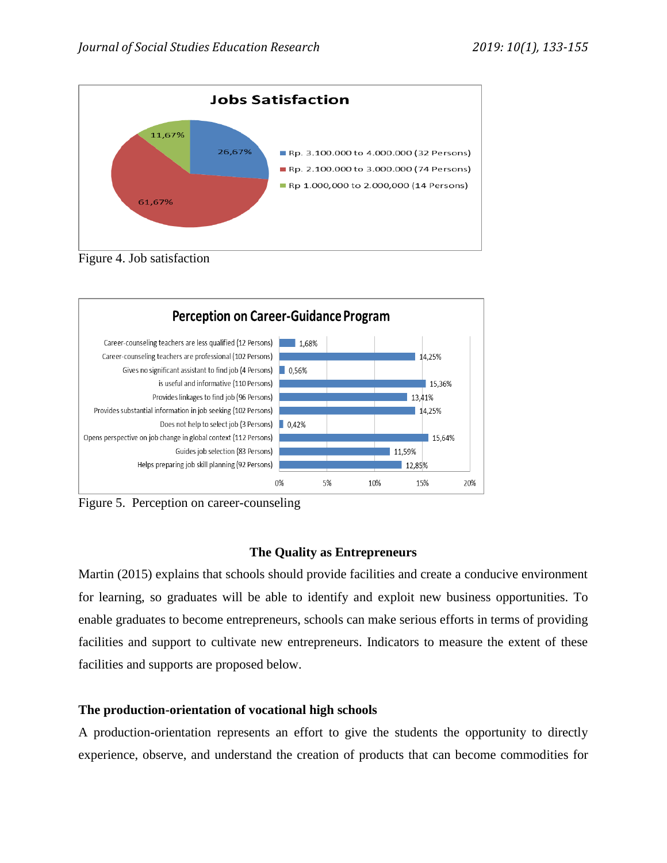

Figure 4. Job satisfaction



Figure 5. Perception on career-counseling

# **The Quality as Entrepreneurs**

Martin (2015) explains that schools should provide facilities and create a conducive environment for learning, so graduates will be able to identify and exploit new business opportunities. To enable graduates to become entrepreneurs, schools can make serious efforts in terms of providing facilities and support to cultivate new entrepreneurs. Indicators to measure the extent of these facilities and supports are proposed below.

# **The production-orientation of vocational high schools**

A production-orientation represents an effort to give the students the opportunity to directly experience, observe, and understand the creation of products that can become commodities for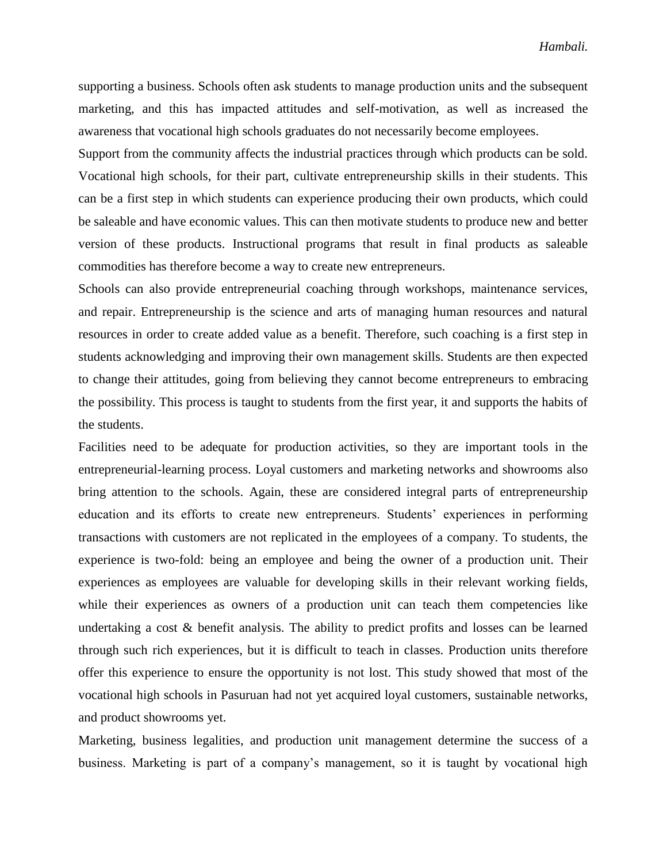supporting a business. Schools often ask students to manage production units and the subsequent marketing, and this has impacted attitudes and self-motivation, as well as increased the awareness that vocational high schools graduates do not necessarily become employees.

Support from the community affects the industrial practices through which products can be sold. Vocational high schools, for their part, cultivate entrepreneurship skills in their students. This can be a first step in which students can experience producing their own products, which could be saleable and have economic values. This can then motivate students to produce new and better version of these products. Instructional programs that result in final products as saleable commodities has therefore become a way to create new entrepreneurs.

Schools can also provide entrepreneurial coaching through workshops, maintenance services, and repair. Entrepreneurship is the science and arts of managing human resources and natural resources in order to create added value as a benefit. Therefore, such coaching is a first step in students acknowledging and improving their own management skills. Students are then expected to change their attitudes, going from believing they cannot become entrepreneurs to embracing the possibility. This process is taught to students from the first year, it and supports the habits of the students.

Facilities need to be adequate for production activities, so they are important tools in the entrepreneurial-learning process. Loyal customers and marketing networks and showrooms also bring attention to the schools. Again, these are considered integral parts of entrepreneurship education and its efforts to create new entrepreneurs. Students' experiences in performing transactions with customers are not replicated in the employees of a company. To students, the experience is two-fold: being an employee and being the owner of a production unit. Their experiences as employees are valuable for developing skills in their relevant working fields, while their experiences as owners of a production unit can teach them competencies like undertaking a cost & benefit analysis. The ability to predict profits and losses can be learned through such rich experiences, but it is difficult to teach in classes. Production units therefore offer this experience to ensure the opportunity is not lost. This study showed that most of the vocational high schools in Pasuruan had not yet acquired loyal customers, sustainable networks, and product showrooms yet.

Marketing, business legalities, and production unit management determine the success of a business. Marketing is part of a company's management, so it is taught by vocational high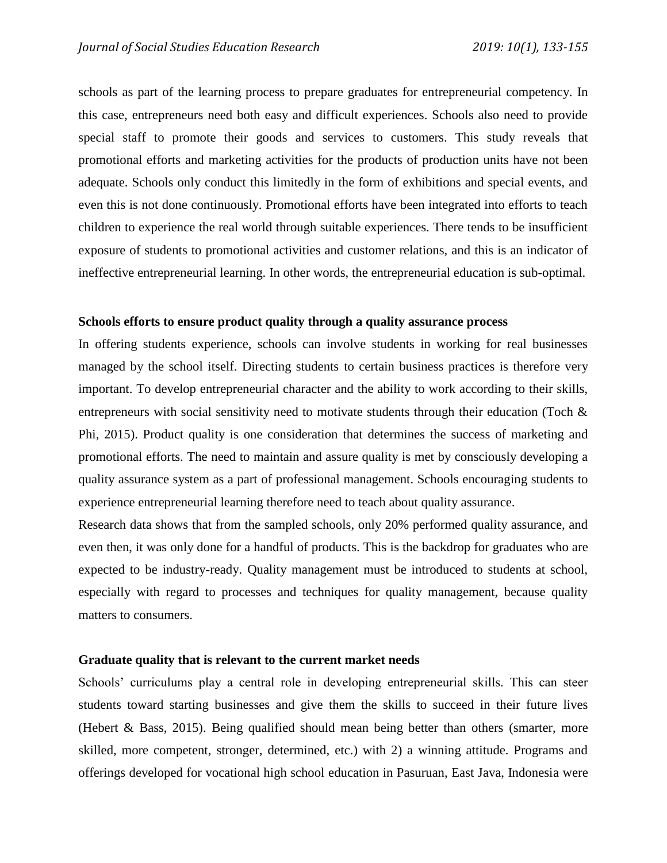schools as part of the learning process to prepare graduates for entrepreneurial competency. In this case, entrepreneurs need both easy and difficult experiences. Schools also need to provide special staff to promote their goods and services to customers. This study reveals that promotional efforts and marketing activities for the products of production units have not been adequate. Schools only conduct this limitedly in the form of exhibitions and special events, and even this is not done continuously. Promotional efforts have been integrated into efforts to teach children to experience the real world through suitable experiences. There tends to be insufficient exposure of students to promotional activities and customer relations, and this is an indicator of ineffective entrepreneurial learning. In other words, the entrepreneurial education is sub-optimal.

#### **Schools efforts to ensure product quality through a quality assurance process**

In offering students experience, schools can involve students in working for real businesses managed by the school itself. Directing students to certain business practices is therefore very important. To develop entrepreneurial character and the ability to work according to their skills, entrepreneurs with social sensitivity need to motivate students through their education (Toch  $\&$ Phi, 2015). Product quality is one consideration that determines the success of marketing and promotional efforts. The need to maintain and assure quality is met by consciously developing a quality assurance system as a part of professional management. Schools encouraging students to experience entrepreneurial learning therefore need to teach about quality assurance.

Research data shows that from the sampled schools, only 20% performed quality assurance, and even then, it was only done for a handful of products. This is the backdrop for graduates who are expected to be industry-ready. Quality management must be introduced to students at school, especially with regard to processes and techniques for quality management, because quality matters to consumers.

#### **Graduate quality that is relevant to the current market needs**

Schools' curriculums play a central role in developing entrepreneurial skills. This can steer students toward starting businesses and give them the skills to succeed in their future lives (Hebert & Bass, 2015). Being qualified should mean being better than others (smarter, more skilled, more competent, stronger, determined, etc.) with 2) a winning attitude. Programs and offerings developed for vocational high school education in Pasuruan, East Java, Indonesia were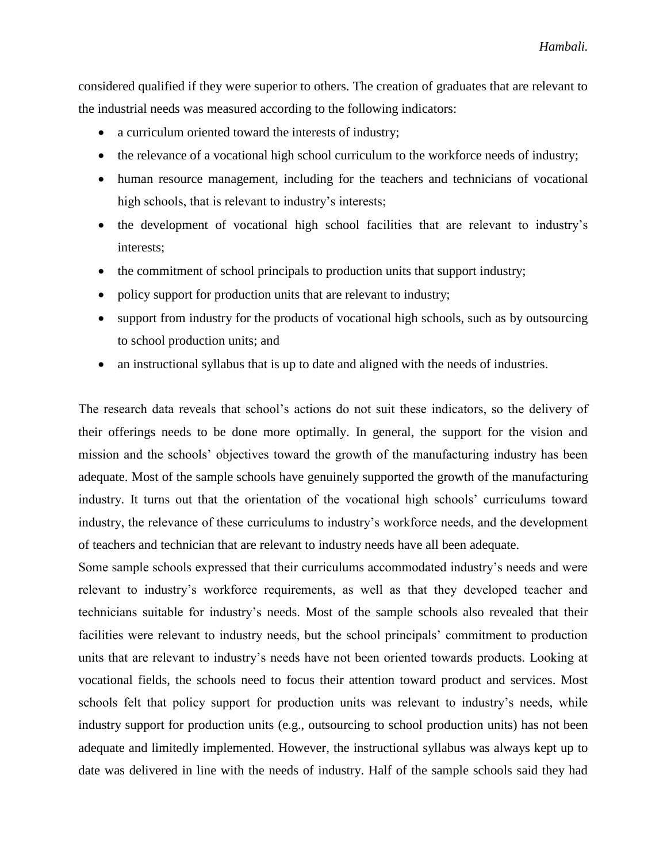considered qualified if they were superior to others. The creation of graduates that are relevant to the industrial needs was measured according to the following indicators:

- a curriculum oriented toward the interests of industry;
- the relevance of a vocational high school curriculum to the workforce needs of industry;
- human resource management, including for the teachers and technicians of vocational high schools, that is relevant to industry's interests;
- the development of vocational high school facilities that are relevant to industry's interests;
- the commitment of school principals to production units that support industry;
- policy support for production units that are relevant to industry;
- support from industry for the products of vocational high schools, such as by outsourcing to school production units; and
- an instructional syllabus that is up to date and aligned with the needs of industries.

The research data reveals that school's actions do not suit these indicators, so the delivery of their offerings needs to be done more optimally. In general, the support for the vision and mission and the schools' objectives toward the growth of the manufacturing industry has been adequate. Most of the sample schools have genuinely supported the growth of the manufacturing industry. It turns out that the orientation of the vocational high schools' curriculums toward industry, the relevance of these curriculums to industry's workforce needs, and the development of teachers and technician that are relevant to industry needs have all been adequate.

Some sample schools expressed that their curriculums accommodated industry's needs and were relevant to industry's workforce requirements, as well as that they developed teacher and technicians suitable for industry's needs. Most of the sample schools also revealed that their facilities were relevant to industry needs, but the school principals' commitment to production units that are relevant to industry's needs have not been oriented towards products. Looking at vocational fields, the schools need to focus their attention toward product and services. Most schools felt that policy support for production units was relevant to industry's needs, while industry support for production units (e.g., outsourcing to school production units) has not been adequate and limitedly implemented. However, the instructional syllabus was always kept up to date was delivered in line with the needs of industry. Half of the sample schools said they had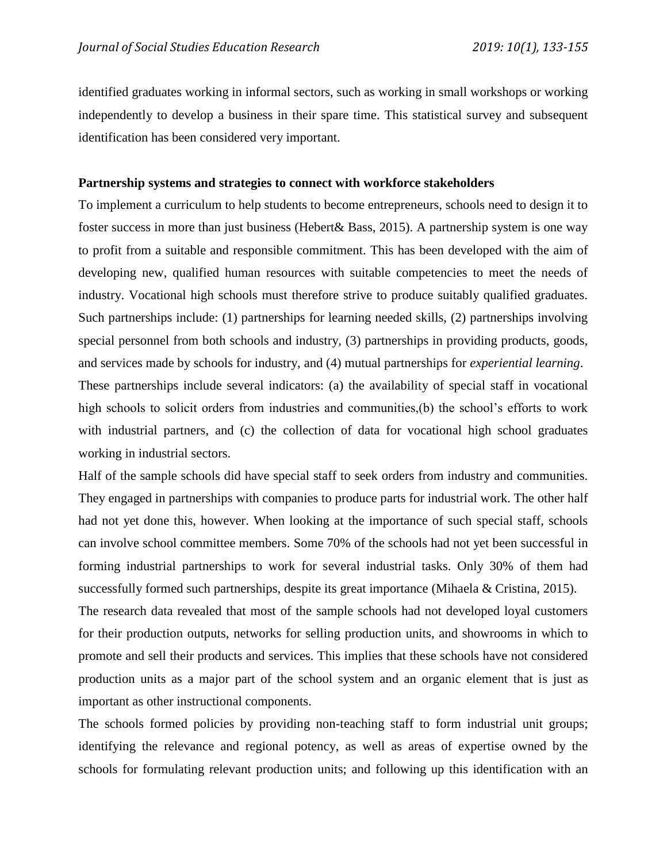identified graduates working in informal sectors, such as working in small workshops or working independently to develop a business in their spare time. This statistical survey and subsequent identification has been considered very important.

#### **Partnership systems and strategies to connect with workforce stakeholders**

To implement a curriculum to help students to become entrepreneurs, schools need to design it to foster success in more than just business (Hebert& Bass, 2015). A partnership system is one way to profit from a suitable and responsible commitment. This has been developed with the aim of developing new, qualified human resources with suitable competencies to meet the needs of industry. Vocational high schools must therefore strive to produce suitably qualified graduates. Such partnerships include: (1) partnerships for learning needed skills, (2) partnerships involving special personnel from both schools and industry, (3) partnerships in providing products, goods, and services made by schools for industry, and (4) mutual partnerships for *experiential learning*.

These partnerships include several indicators: (a) the availability of special staff in vocational high schools to solicit orders from industries and communities, (b) the school's efforts to work with industrial partners, and (c) the collection of data for vocational high school graduates working in industrial sectors.

Half of the sample schools did have special staff to seek orders from industry and communities. They engaged in partnerships with companies to produce parts for industrial work. The other half had not yet done this, however. When looking at the importance of such special staff, schools can involve school committee members. Some 70% of the schools had not yet been successful in forming industrial partnerships to work for several industrial tasks. Only 30% of them had successfully formed such partnerships, despite its great importance (Mihaela & Cristina, 2015).

The research data revealed that most of the sample schools had not developed loyal customers for their production outputs, networks for selling production units, and showrooms in which to promote and sell their products and services. This implies that these schools have not considered production units as a major part of the school system and an organic element that is just as important as other instructional components.

The schools formed policies by providing non-teaching staff to form industrial unit groups; identifying the relevance and regional potency, as well as areas of expertise owned by the schools for formulating relevant production units; and following up this identification with an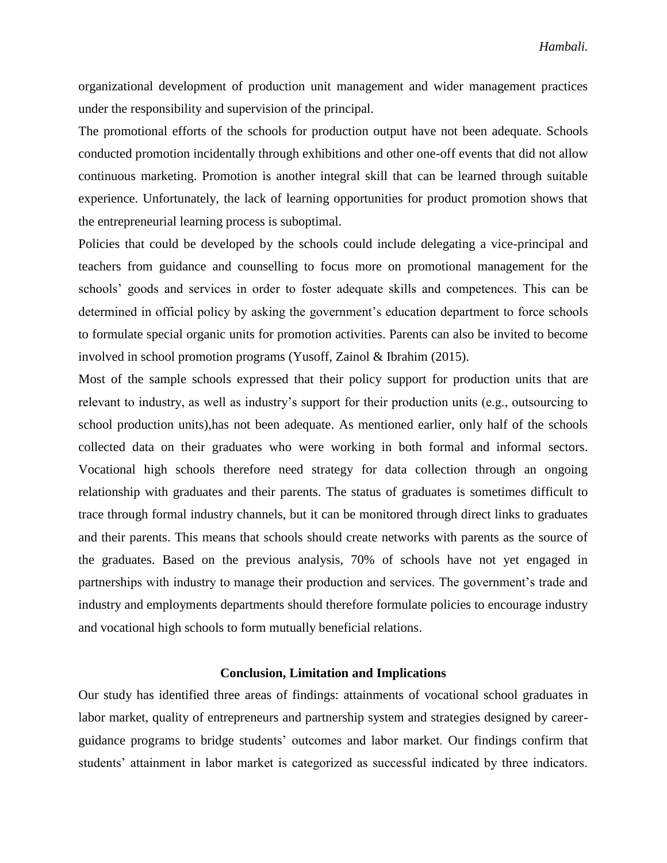organizational development of production unit management and wider management practices under the responsibility and supervision of the principal.

The promotional efforts of the schools for production output have not been adequate. Schools conducted promotion incidentally through exhibitions and other one-off events that did not allow continuous marketing. Promotion is another integral skill that can be learned through suitable experience. Unfortunately, the lack of learning opportunities for product promotion shows that the entrepreneurial learning process is suboptimal.

Policies that could be developed by the schools could include delegating a vice-principal and teachers from guidance and counselling to focus more on promotional management for the schools' goods and services in order to foster adequate skills and competences. This can be determined in official policy by asking the government's education department to force schools to formulate special organic units for promotion activities. Parents can also be invited to become involved in school promotion programs (Yusoff, Zainol & Ibrahim (2015).

Most of the sample schools expressed that their policy support for production units that are relevant to industry, as well as industry's support for their production units (e.g., outsourcing to school production units),has not been adequate. As mentioned earlier, only half of the schools collected data on their graduates who were working in both formal and informal sectors. Vocational high schools therefore need strategy for data collection through an ongoing relationship with graduates and their parents. The status of graduates is sometimes difficult to trace through formal industry channels, but it can be monitored through direct links to graduates and their parents. This means that schools should create networks with parents as the source of the graduates. Based on the previous analysis, 70% of schools have not yet engaged in partnerships with industry to manage their production and services. The government's trade and industry and employments departments should therefore formulate policies to encourage industry and vocational high schools to form mutually beneficial relations.

#### **Conclusion, Limitation and Implications**

Our study has identified three areas of findings: attainments of vocational school graduates in labor market, quality of entrepreneurs and partnership system and strategies designed by careerguidance programs to bridge students' outcomes and labor market. Our findings confirm that students' attainment in labor market is categorized as successful indicated by three indicators.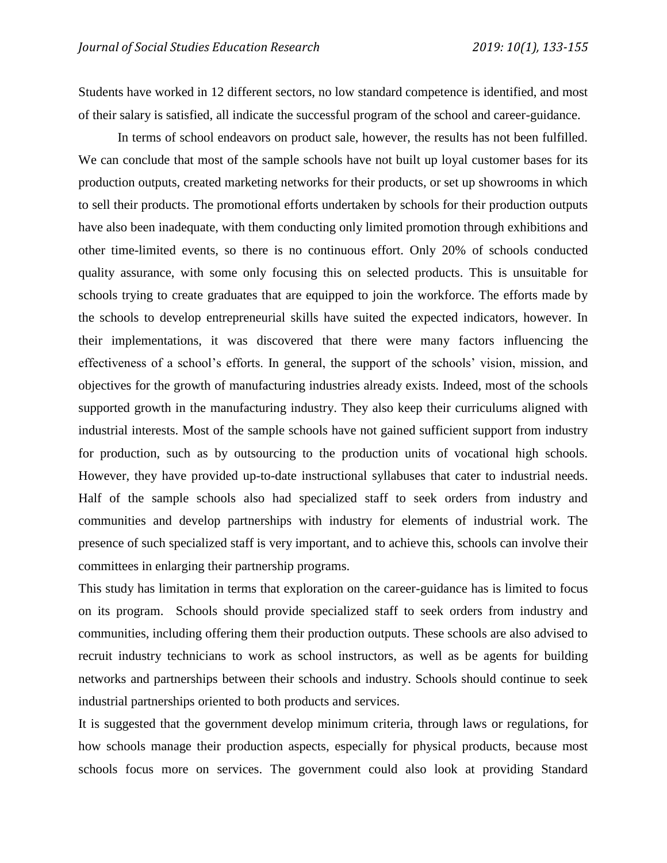Students have worked in 12 different sectors, no low standard competence is identified, and most of their salary is satisfied, all indicate the successful program of the school and career-guidance.

In terms of school endeavors on product sale, however, the results has not been fulfilled. We can conclude that most of the sample schools have not built up loyal customer bases for its production outputs, created marketing networks for their products, or set up showrooms in which to sell their products. The promotional efforts undertaken by schools for their production outputs have also been inadequate, with them conducting only limited promotion through exhibitions and other time-limited events, so there is no continuous effort. Only 20% of schools conducted quality assurance, with some only focusing this on selected products. This is unsuitable for schools trying to create graduates that are equipped to join the workforce. The efforts made by the schools to develop entrepreneurial skills have suited the expected indicators, however. In their implementations, it was discovered that there were many factors influencing the effectiveness of a school's efforts. In general, the support of the schools' vision, mission, and objectives for the growth of manufacturing industries already exists. Indeed, most of the schools supported growth in the manufacturing industry. They also keep their curriculums aligned with industrial interests. Most of the sample schools have not gained sufficient support from industry for production, such as by outsourcing to the production units of vocational high schools. However, they have provided up-to-date instructional syllabuses that cater to industrial needs. Half of the sample schools also had specialized staff to seek orders from industry and communities and develop partnerships with industry for elements of industrial work. The presence of such specialized staff is very important, and to achieve this, schools can involve their committees in enlarging their partnership programs.

This study has limitation in terms that exploration on the career-guidance has is limited to focus on its program. Schools should provide specialized staff to seek orders from industry and communities, including offering them their production outputs. These schools are also advised to recruit industry technicians to work as school instructors, as well as be agents for building networks and partnerships between their schools and industry. Schools should continue to seek industrial partnerships oriented to both products and services.

It is suggested that the government develop minimum criteria, through laws or regulations, for how schools manage their production aspects, especially for physical products, because most schools focus more on services. The government could also look at providing Standard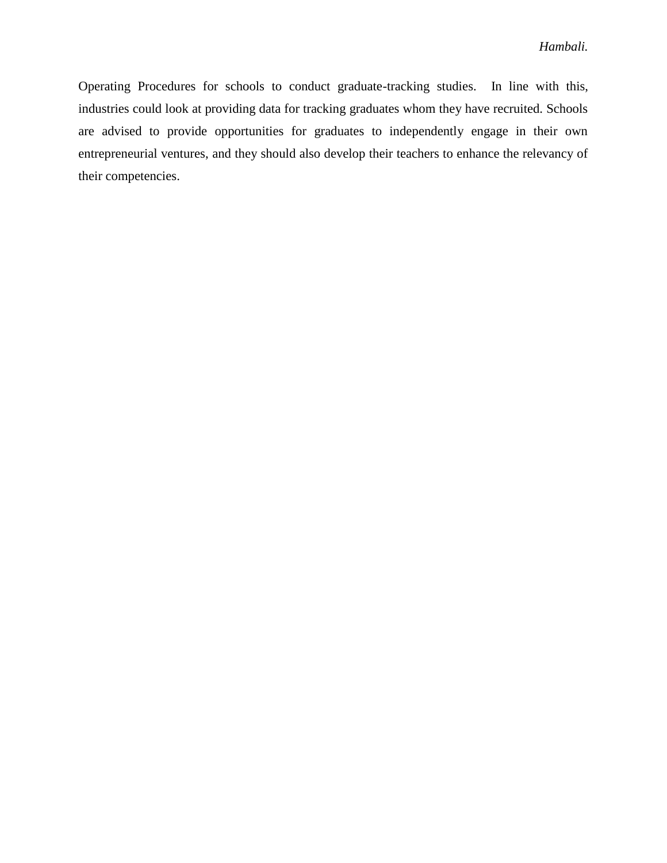Operating Procedures for schools to conduct graduate-tracking studies. In line with this, industries could look at providing data for tracking graduates whom they have recruited. Schools are advised to provide opportunities for graduates to independently engage in their own entrepreneurial ventures, and they should also develop their teachers to enhance the relevancy of their competencies.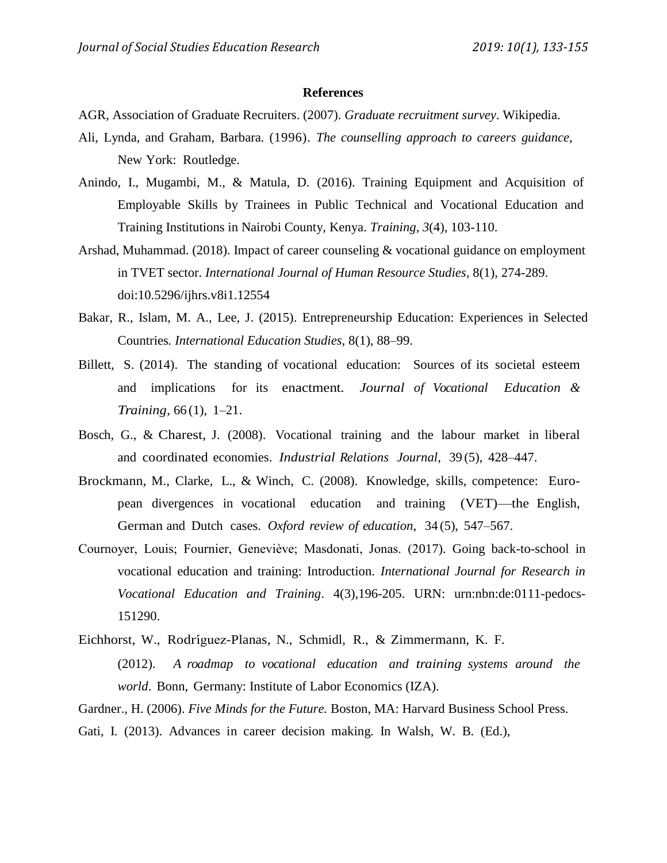#### **References**

AGR, Association of Graduate Recruiters. (2007). *Graduate recruitment survey*. Wikipedia.

- Ali, Lynda, and Graham, Barbara. (1996). *The counselling approach to careers guidance*, New York: Routledge.
- Anindo, I., Mugambi, M., & Matula, D. (2016). Training Equipment and Acquisition of Employable Skills by Trainees in Public Technical and Vocational Education and Training Institutions in Nairobi County, Kenya. *Training*, *3*(4), 103-110.
- Arshad, Muhammad. (2018). Impact of career counseling & vocational guidance on employment in TVET sector. *International Journal of Human Resource Studies*, 8(1), 274-289. doi:10.5296/ijhrs.v8i1.12554
- Bakar, R., Islam, M. A., Lee, J. (2015). Entrepreneurship Education: Experiences in Selected Countries*. International Education Studies,* 8(1), 88–99.
- Billett, S. (2014). The standing of vocational education: Sources of its societal esteem and implications for its enactment. *Journal of Vocational Education & Training*, 66 (1), 1–21.
- Bosch, G., & Charest, J. (2008). Vocational training and the labour market in liberal and coordinated economies. *Industrial Relations Journal*, 39 (5), 428–447.
- Brockmann, M., Clarke, L., & Winch, C. (2008). Knowledge, skills, competence: European divergences in vocational education and training (VET)—the English, German and Dutch cases. *Oxford review of education*, 34 (5), 547–567.
- Cournoyer, Louis; Fournier, Geneviève; Masdonati, Jonas. (2017). Going back-to-school in vocational education and training: Introduction. *International Journal for Research in Vocational Education and Training*. 4(3),196-205. URN: urn:nbn:de:0111-pedocs-151290.
- Eichhorst, W., Rodríguez-Planas, N., Schmidl, R., & Zimmermann, K. F. (2012). *A roadmap to vocational education and training systems around the world*. Bonn, Germany: Institute of Labor Economics (IZA).

Gardner., H. (2006). *Five Minds for the Future.* Boston, MA: Harvard Business School Press.

Gati, I. (2013). Advances in career decision making. In Walsh, W. B. (Ed.),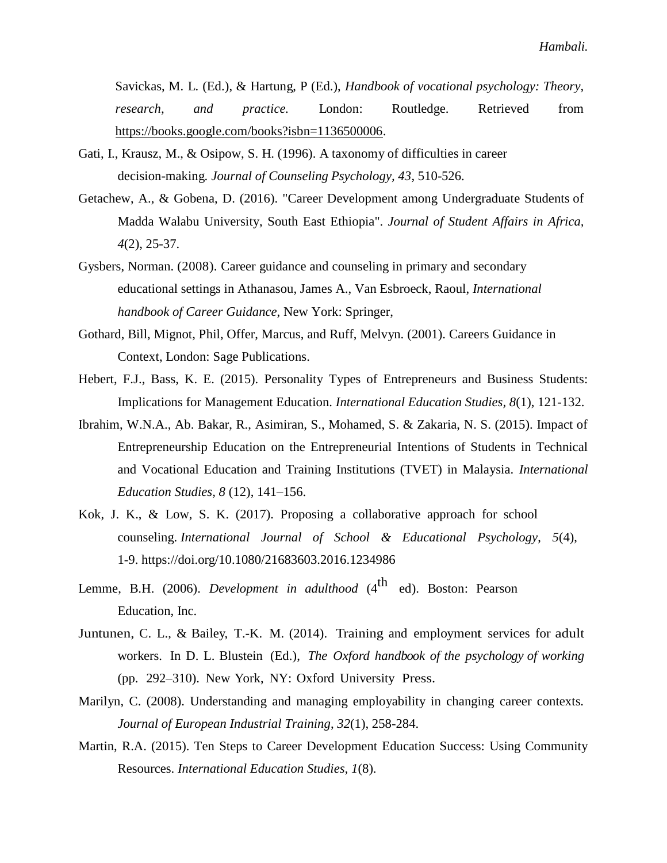Savickas, M. L. (Ed.), & Hartung, P (Ed.), *Handbook of vocational psychology: Theory, research, and practice.* London: Routledge. Retrieved from [https://books.google.com/books?isbn=1136500006.](https://books.google.com/books?isbn=1136500006)

- Gati, I., Krausz, M., & Osipow, S. H. (1996). A taxonomy of difficulties in career decision-making. *Journal of Counseling Psychology, 43*, 510-526.
- Getachew, A., & Gobena, D. (2016). "Career Development among Undergraduate Students of Madda Walabu University, South East Ethiopia". *Journal of Student Affairs in Africa, 4*(2), 25-37.
- Gysbers, Norman. (2008). Career guidance and counseling in primary and secondary educational settings in Athanasou, James A., Van Esbroeck, Raoul, *International handbook of Career Guidance*, New York: Springer,
- Gothard, Bill, Mignot, Phil, Offer, Marcus, and Ruff, Melvyn. (2001). Careers Guidance in Context, London: Sage Publications.
- Hebert, F.J., Bass, K. E. (2015). Personality Types of Entrepreneurs and Business Students: Implications for Management Education. *International Education Studies, 8*(1), 121-132.
- Ibrahim, W.N.A., Ab. Bakar, R., Asimiran, S., Mohamed, S. & Zakaria, N. S. (2015). Impact of Entrepreneurship Education on the Entrepreneurial Intentions of Students in Technical and Vocational Education and Training Institutions (TVET) in Malaysia. *International Education Studies, 8* (12), 141–156.
- Kok, J. K., & Low, S. K. (2017). Proposing a collaborative approach for school counseling. *International Journal of School & Educational Psychology*, *5*(4), 1-9. <https://doi.org/10.1080/21683603.2016.1234986>
- Lemme, B.H. (2006). *Development in adulthood* (4<sup>th</sup> ed). Boston: Pearson Education, Inc.
- Juntunen, C. L., & Bailey, T.-K. M. (2014). Training and employment services for adult workers. In D. L. Blustein (Ed.), *The Oxford handbook of the psychology of working* (pp. 292–310). New York, NY: Oxford University Press.
- Marilyn, C. (2008). Understanding and managing employability in changing career contexts. *Journal of European Industrial Training*, *32*(1), 258-284.
- Martin, R.A. (2015). Ten Steps to Career Development Education Success: Using Community Resources. *International Education Studies, 1*(8).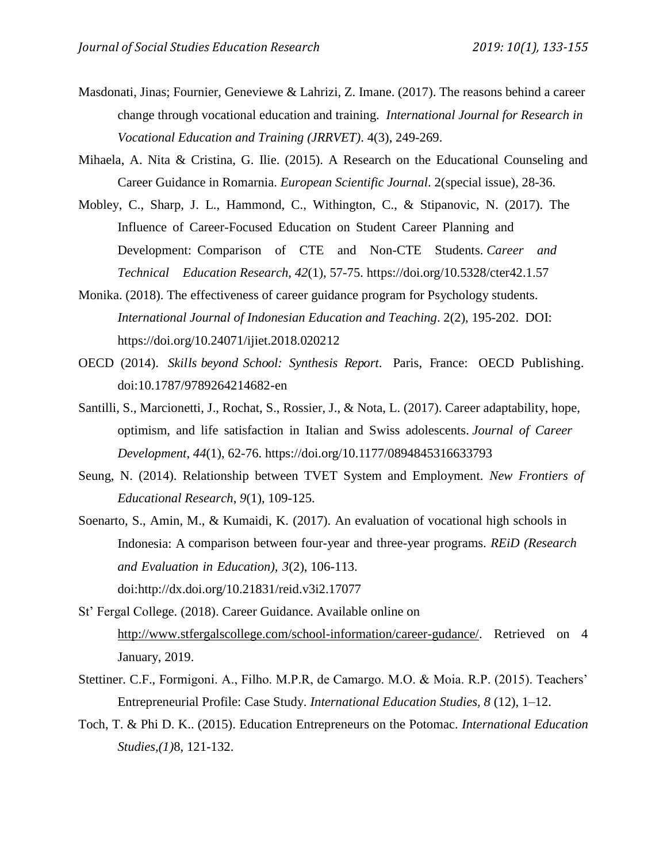- Masdonati, Jinas; Fournier, Geneviewe & Lahrizi, Z. Imane. (2017). The reasons behind a career change through vocational education and training. *International Journal for Research in Vocational Education and Training (JRRVET)*. 4(3), 249-269.
- Mihaela, A. Nita & Cristina, G. Ilie. (2015). A Research on the Educational Counseling and Career Guidance in Romarnia. *European Scientific Journal*. 2(special issue), 28-36.
- Mobley, C., Sharp, J. L., Hammond, C., Withington, C., & Stipanovic, N. (2017). The Influence of Career-Focused Education on Student Career Planning and Development: Comparison of CTE and Non-CTE Students. *Career and Technical Education Research*, *42*(1), 57-75. <https://doi.org/10.5328/cter42.1.57>
- Monika. (2018). The effectiveness of career guidance program for Psychology students. *International Journal of Indonesian Education and Teaching*. 2(2), 195-202. DOI: https://doi.org/10.24071/ijiet.2018.020212
- OECD (2014). *Skills beyond School: Synthesis Report*. Paris, France: OECD Publishing. [doi:10.1787/9789264214682-en](http://dx.doi.org/10.1787/9789264214682-en)
- Santilli, S., Marcionetti, J., Rochat, S., Rossier, J., & Nota, L. (2017). Career adaptability, hope, optimism, and life satisfaction in Italian and Swiss adolescents. *Journal of Career Development*, *44*(1), 62[-76. https://doi.org/10.1177/0894845316633793](https://doi.org/10.1177/0894845316633793)
- Seung, N. (2014). Relationship between TVET System and Employment. *New Frontiers of Educational Research*, *9*(1), 109-125.
- Soenarto, S., Amin, M., & Kumaidi, K. (2017). An evaluation of vocational high schools in Indonesia: A comparison between four-year and three-year programs. *REiD (Research and Evaluation in Education), 3*(2), 106[-113.](http://dx.doi.org/10.21831/reid.v3i2.17077)  [doi:http://dx.doi.org/10.21831/reid.v3i2.17077](http://dx.doi.org/10.21831/reid.v3i2.17077)
- St' Fergal College. (2018). Career Guidance. Available online on [http://www.stfergalscollege.com/school-information/career-gudance/.](http://www.stfergalscollege.com/school-information/career-gudance/) Retrieved on 4 January, 2019.
- Stettiner. C.F., Formigoni. A., Filho. M.P.R, de Camargo. M.O. & Moia. R.P. (2015). Teachers' Entrepreneurial Profile: Case Study*. International Education Studies, 8* (12), 1–12.
- Toch, T. & Phi D. K.. (2015). Education Entrepreneurs on the Potomac. *International Education Studies,(1)*8, 121-132.